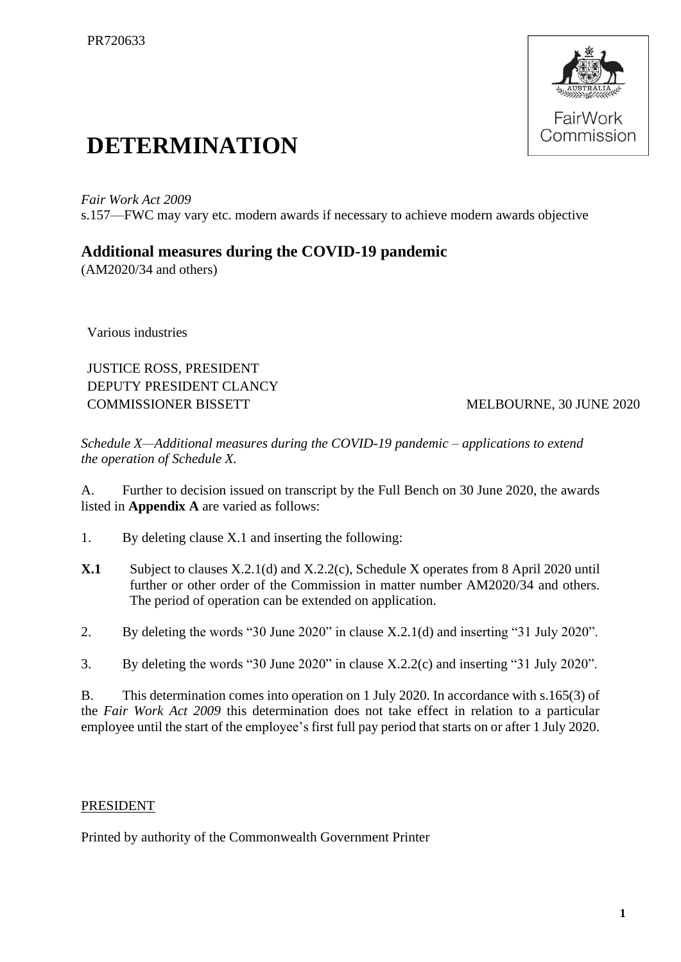

## **DETERMINATION**

*Fair Work Act 2009*  s.157—FWC may vary etc. modern awards if necessary to achieve modern awards objective

## **Additional measures during the COVID-19 pandemic**

(AM2020/34 and others)

Various industries

JUSTICE ROSS, PRESIDENT DEPUTY PRESIDENT CLANCY COMMISSIONER BISSETT MELBOURNE, 30 JUNE 2020

*Schedule X—Additional measures during the COVID-19 pandemic – applications to extend the operation of Schedule X.*

A. Further to decision issued on transcript by the Full Bench on 30 June 2020, the awards listed in **Appendix A** are varied as follows:

- 1. By deleting clause X.1 and inserting the following:
- **X.1** Subject to clauses X.2.1(d) and X.2.2(c), Schedule X operates from 8 April 2020 until further or other order of the Commission in matter number AM2020/34 and others. The period of operation can be extended on application.
- 2. By deleting the words "30 June 2020" in clause X.2.1(d) and inserting "31 July 2020".
- 3. By deleting the words "30 June 2020" in clause X.2.2(c) and inserting "31 July 2020".

B. This determination comes into operation on 1 July 2020. In accordance with s.165(3) of the *Fair Work Act 2009* this determination does not take effect in relation to a particular employee until the start of the employee's first full pay period that starts on or after 1 July 2020.

## PRESIDENT

Printed by authority of the Commonwealth Government Printer